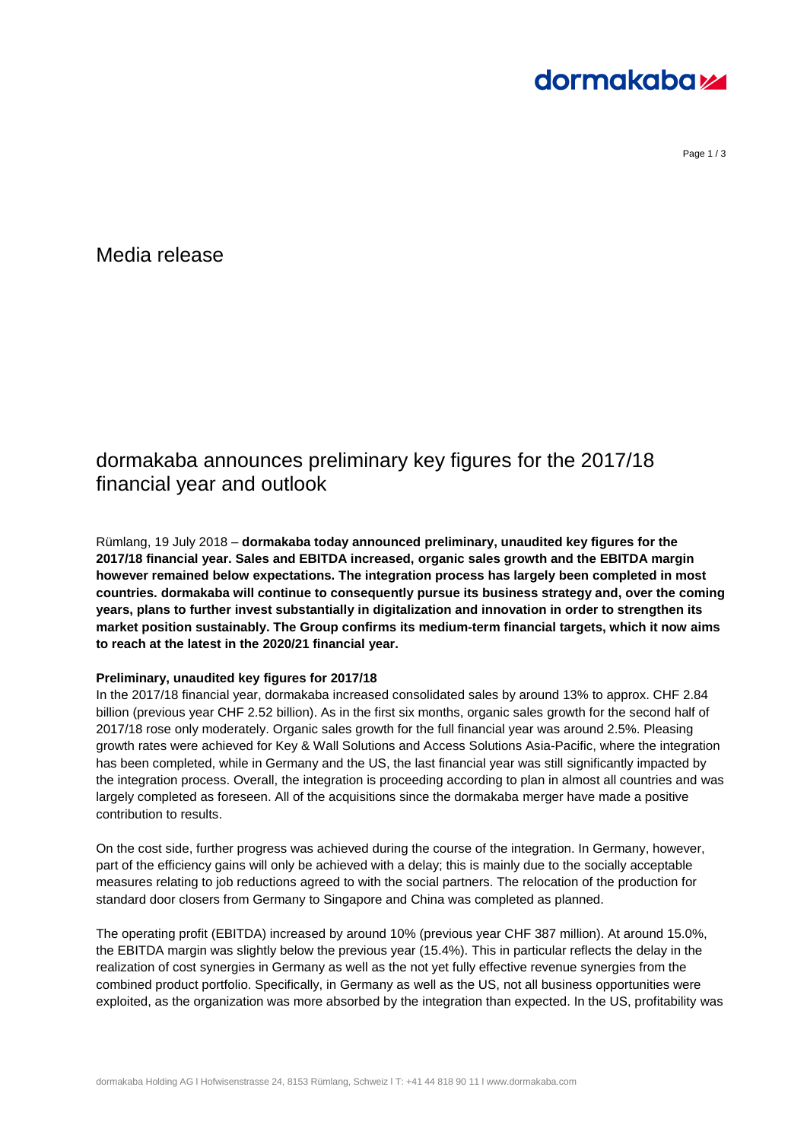# **dormakabazz**

Page 1 / 3

Media release

### dormakaba announces preliminary key figures for the 2017/18 financial year and outlook

Rümlang, 19 July 2018 – **dormakaba today announced preliminary, unaudited key figures for the 2017/18 financial year. Sales and EBITDA increased, organic sales growth and the EBITDA margin however remained below expectations. The integration process has largely been completed in most countries. dormakaba will continue to consequently pursue its business strategy and, over the coming years, plans to further invest substantially in digitalization and innovation in order to strengthen its market position sustainably. The Group confirms its medium-term financial targets, which it now aims to reach at the latest in the 2020/21 financial year.**

### **Preliminary, unaudited key figures for 2017/18**

In the 2017/18 financial year, dormakaba increased consolidated sales by around 13% to approx. CHF 2.84 billion (previous year CHF 2.52 billion). As in the first six months, organic sales growth for the second half of 2017/18 rose only moderately. Organic sales growth for the full financial year was around 2.5%. Pleasing growth rates were achieved for Key & Wall Solutions and Access Solutions Asia-Pacific, where the integration has been completed, while in Germany and the US, the last financial year was still significantly impacted by the integration process. Overall, the integration is proceeding according to plan in almost all countries and was largely completed as foreseen. All of the acquisitions since the dormakaba merger have made a positive contribution to results.

On the cost side, further progress was achieved during the course of the integration. In Germany, however, part of the efficiency gains will only be achieved with a delay; this is mainly due to the socially acceptable measures relating to job reductions agreed to with the social partners. The relocation of the production for standard door closers from Germany to Singapore and China was completed as planned.

The operating profit (EBITDA) increased by around 10% (previous year CHF 387 million). At around 15.0%, the EBITDA margin was slightly below the previous year (15.4%). This in particular reflects the delay in the realization of cost synergies in Germany as well as the not yet fully effective revenue synergies from the combined product portfolio. Specifically, in Germany as well as the US, not all business opportunities were exploited, as the organization was more absorbed by the integration than expected. In the US, profitability was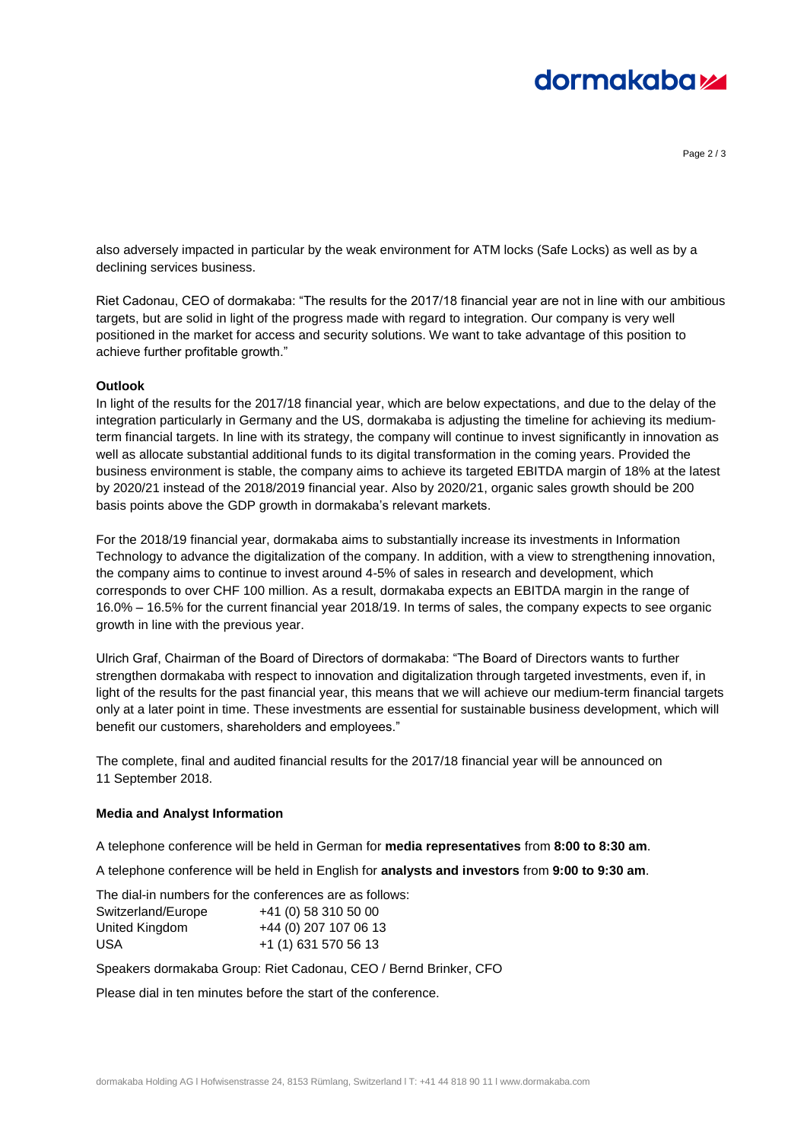# **dormakabazz**

Page 2 / 3

also adversely impacted in particular by the weak environment for ATM locks (Safe Locks) as well as by a declining services business.

Riet Cadonau, CEO of dormakaba: "The results for the 2017/18 financial year are not in line with our ambitious targets, but are solid in light of the progress made with regard to integration. Our company is very well positioned in the market for access and security solutions. We want to take advantage of this position to achieve further profitable growth."

### **Outlook**

In light of the results for the 2017/18 financial year, which are below expectations, and due to the delay of the integration particularly in Germany and the US, dormakaba is adjusting the timeline for achieving its mediumterm financial targets. In line with its strategy, the company will continue to invest significantly in innovation as well as allocate substantial additional funds to its digital transformation in the coming years. Provided the business environment is stable, the company aims to achieve its targeted EBITDA margin of 18% at the latest by 2020/21 instead of the 2018/2019 financial year. Also by 2020/21, organic sales growth should be 200 basis points above the GDP growth in dormakaba's relevant markets.

For the 2018/19 financial year, dormakaba aims to substantially increase its investments in Information Technology to advance the digitalization of the company. In addition, with a view to strengthening innovation, the company aims to continue to invest around 4-5% of sales in research and development, which corresponds to over CHF 100 million. As a result, dormakaba expects an EBITDA margin in the range of 16.0% – 16.5% for the current financial year 2018/19. In terms of sales, the company expects to see organic growth in line with the previous year.

Ulrich Graf, Chairman of the Board of Directors of dormakaba: "The Board of Directors wants to further strengthen dormakaba with respect to innovation and digitalization through targeted investments, even if, in light of the results for the past financial year, this means that we will achieve our medium-term financial targets only at a later point in time. These investments are essential for sustainable business development, which will benefit our customers, shareholders and employees."

The complete, final and audited financial results for the 2017/18 financial year will be announced on 11 September 2018.

#### **Media and Analyst Information**

A telephone conference will be held in German for **media representatives** from **8:00 to 8:30 am**.

A telephone conference will be held in English for **analysts and investors** from **9:00 to 9:30 am**.

|                    | The dial-in numbers for the conferences are as follows: |
|--------------------|---------------------------------------------------------|
| Switzerland/Europe | +41 (0) 58 310 50 00                                    |
| United Kingdom     | +44 (0) 207 107 06 13                                   |
| USA                | +1 (1) 631 570 56 13                                    |

Speakers dormakaba Group: Riet Cadonau, CEO / Bernd Brinker, CFO

Please dial in ten minutes before the start of the conference.